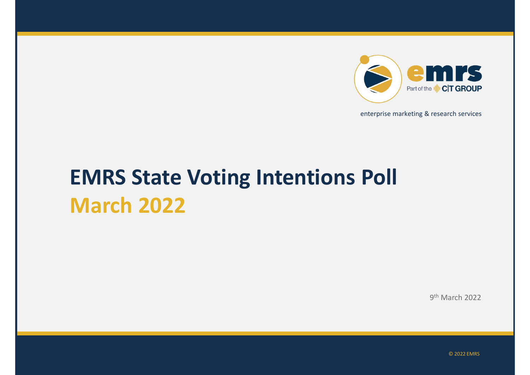

enterprise marketing & research services

# EMRS State Voting Intentions Poll March 2022

9 th March 2022

© 2022 EMRS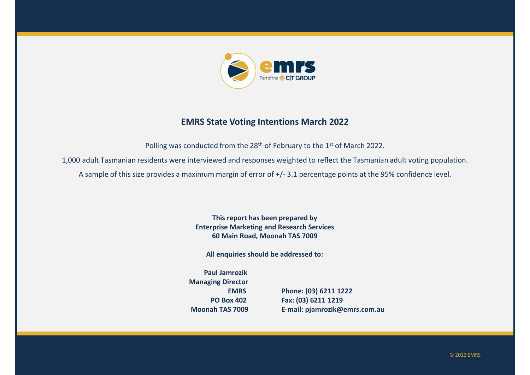

#### EMRS State Voting Intentions March 2022

Polling was conducted from the 28<sup>th</sup> of February to the 1<sup>st</sup> of March 2022.

1,000 adult Tasmanian residents were interviewed and responses weighted to reflect the Tasmanian adult voting population.

This report has been prepared by Enterprise Marketing and Research Services 60 Main Road, Moonah TAS 7009 nterviewed and responses weighted to reflect the Tasmanian adult voting population.<br>
ximum margin of error of +/- 3.1 percentage points at the 95% confidence level.<br>
This report has been prepared by<br>
Enterprise Marketing a

All enquiries should be addressed to:

Paul Jamrozik Managing Director

EMRS Phone: (03) 6211 1222 PO Box 402 Fax: (03) 6211 1219

© 2022 EMRS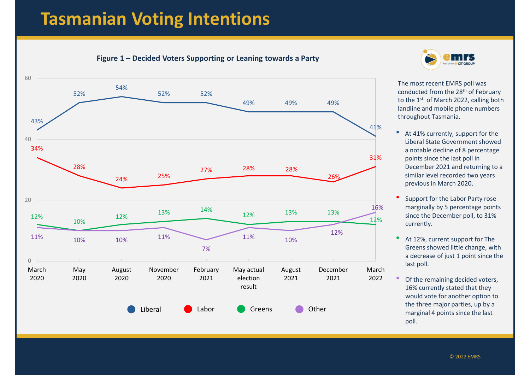## Tasmanian Voting Intentions

11% 10% 12% Part 12%, current support for The **Figure 1 – Decided Voters Supporting or Leaning towards a Party**<br>Figure 1 – Decided Voters Supporting or Leaning towards a Party<br>Figure 1 – Decided Voters Supporting or Leaning towards a Party<br>Figure 1 – Decided Voters Su 43% 52% 54% example of the Microsofter of the Microsofter of the Microsofter of the Microsofter of the Microsofter of the Microsofter of the Microsofter of the Microsofter of the Microsofter of the Microsofter of the Microsofter of th **EMTS**<br>
Examing towards a Party<br>
The most recent EMRS poll was<br>
The most recent EMRS poll was<br>
conducted from the 28<sup>th</sup> of February<br>
to the 1<sup>st</sup> of March 2022, calling both<br>
landline and mobile phone numbers<br>
throughout 34%  $28\%$  . The contract of the contract of the contract of the contract of the contract of the contract of the contract of the contract of the contract of the contract of the contract of the contract of the contract of the 24% 25% 27% 28% 28%  $12\%$  12% 10%  $12\%$  13%  $14\%$  12% 13% 13% 12% 13% 13%  $\begin{array}{|c|c|c|c|}\hline & & & & &54\% & & &52\% & &52\% & & &49\% & &49\% \\\hline \hline \end{array}$ **7%** и производительно производительно производительно производительно производительно производительно производитель 0 20 40 60 metal and a set of the set of the set of the set of the set of the set of the set of the set of the set of the set of the set of the set of the set of the set of the set of the set of the set of the set of the set of th March May August 2020 May Mugust November February Maya 2020 2020 2020 2021 election February May actual result August December 2021 2021 2022 March Liberal **Greens** Computer Computer Computer Computer Computer Computer Computer Computer Computer Computer Computer



The most recent EMRS poll was conducted from the 28th of February to the 1<sup>st</sup> of March 2022, calling both landline and mobile phone numbers throughout Tasmania.

- At 41% currently, support for the 41% Liberal State Government showed a notable decline of 8 percentage 31% points since the last poll in December 2021 and returning to a 26% Similar level recorded two years previous in March 2020.
	- Support for the Labor Party rose 16% marginally by 5 percentage points 12% since the December poll, to 31% currently.
		- Greens showed little change, with a decrease of just 1 point since the last poll.
- 2021 2022 Of the remaining decided voters, 16% currently stated that they would vote for another option to the three major parties, up by a marginal 4 points since the last poll.